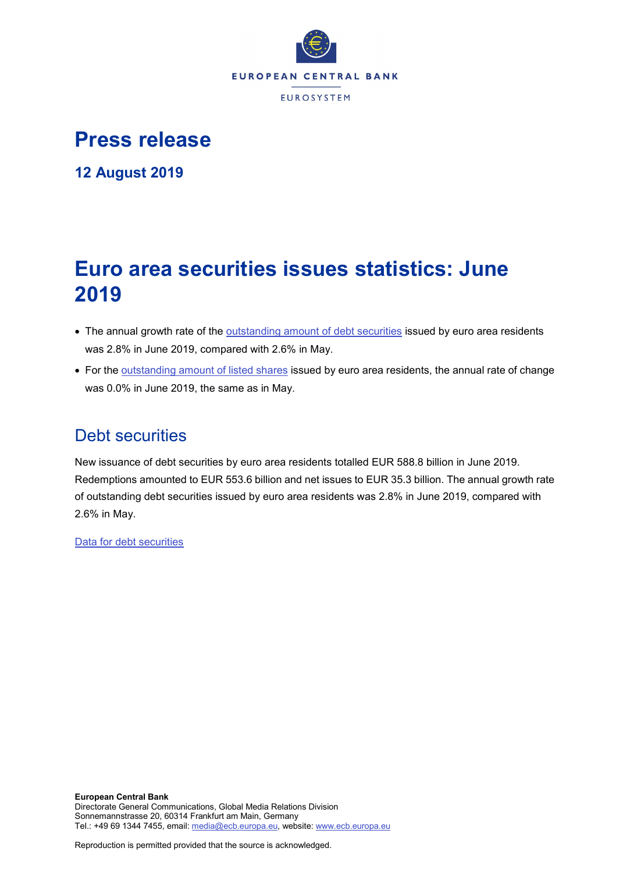

# **Press release**

**12 August 2019**

# **Euro area securities issues statistics: June 2019**

- The annual growth rate of the [outstanding amount of debt securities](http://sdw.ecb.europa.eu/quickview.do?SERIES_KEY=130.SEC.M.I8.1000.F33000.N.I.Z01.A.Z) issued by euro area residents was 2.8% in June 2019, compared with 2.6% in May.
- For the [outstanding amount of listed shares](http://sdw.ecb.europa.eu/quickview.do?SERIES_KEY=130.SEC.M.I8.1000.F51100.M.I.Z01.A.Z) issued by euro area residents, the annual rate of change was 0.0% in June 2019, the same as in May.

## Debt securities

New issuance of debt securities by euro area residents totalled EUR 588.8 billion in June 2019. Redemptions amounted to EUR 553.6 billion and net issues to EUR 35.3 billion. The annual growth rate of outstanding debt securities issued by euro area residents was 2.8% in June 2019, compared with 2.6% in May.

[Data for debt securities](http://sdw.ecb.europa.eu/browseSelection.do?type=series&q=SEC.M.I8.1000.F33000.N.2.Z01.E.Z%2c+SEC.M.I8.1000.F33000.N.3.Z01.E.Z%2c+SEC.M.I8.1000.F33000.N.4.Z01.E.Z%2c+SEC.M.I8.1000.F33000.N.I.Z01.A.Z&node=SEARCHRESULTS&ec=&oc=&rc=&cv=&pb=&dc=&df=)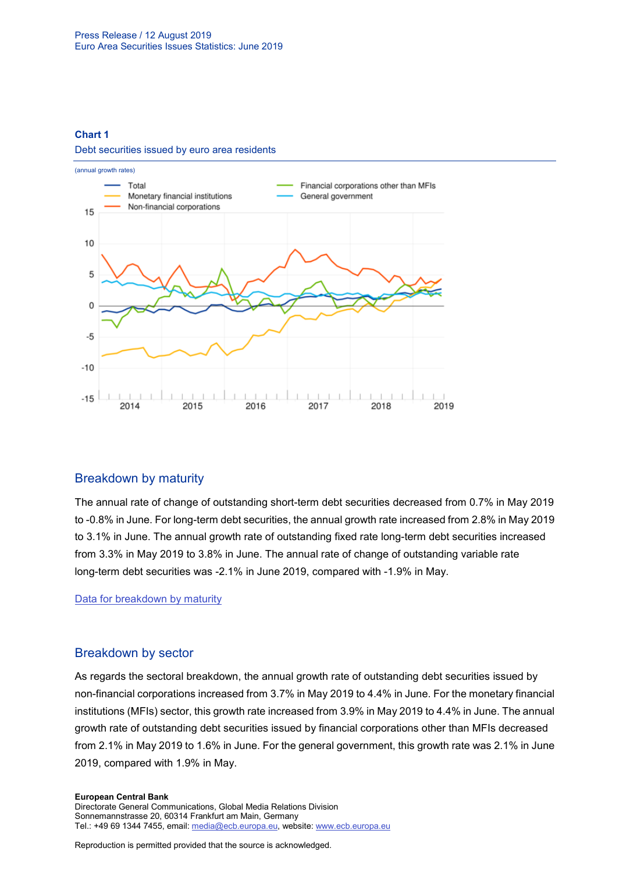### **Chart 1**

#### Debt securities issued by euro area residents



## Breakdown by maturity

The annual rate of change of outstanding short-term debt securities decreased from 0.7% in May 2019 to -0.8% in June. For long-term debt securities, the annual growth rate increased from 2.8% in May 2019 to 3.1% in June. The annual growth rate of outstanding fixed rate long-term debt securities increased from 3.3% in May 2019 to 3.8% in June. The annual rate of change of outstanding variable rate long-term debt securities was -2.1% in June 2019, compared with -1.9% in May.

[Data for breakdown by maturity](http://sdw.ecb.europa.eu/browseSelection.do?type=series&q=SEC.M.I8.1000.F33100.N.I.Z01.A.Z%2c+SEC.M.I8.1000.F33200.N.I.Z01.A.Z%2c+SEC.M.I8.1000.F33201.N.I.Z01.A.Z%2c+SEC.M.I8.1000.F33202.N.I.Z01.A.Z&node=SEARCHRESULTS&ec=&oc=&rc=&cv=&pb=&dc=&df=)

## Breakdown by sector

As regards the sectoral breakdown, the annual growth rate of outstanding debt securities issued by non-financial corporations increased from 3.7% in May 2019 to 4.4% in June. For the monetary financial institutions (MFIs) sector, this growth rate increased from 3.9% in May 2019 to 4.4% in June. The annual growth rate of outstanding debt securities issued by financial corporations other than MFIs decreased from 2.1% in May 2019 to 1.6% in June. For the general government, this growth rate was 2.1% in June 2019, compared with 1.9% in May.

#### **European Central Bank**

Directorate General Communications, Global Media Relations Division Sonnemannstrasse 20, 60314 Frankfurt am Main, Germany Tel.: +49 69 1344 7455, email[: media@ecb.europa.eu,](mailto:media@ecb.europa.eu) website: www.ecb.europa.eu

Reproduction is permitted provided that the source is acknowledged.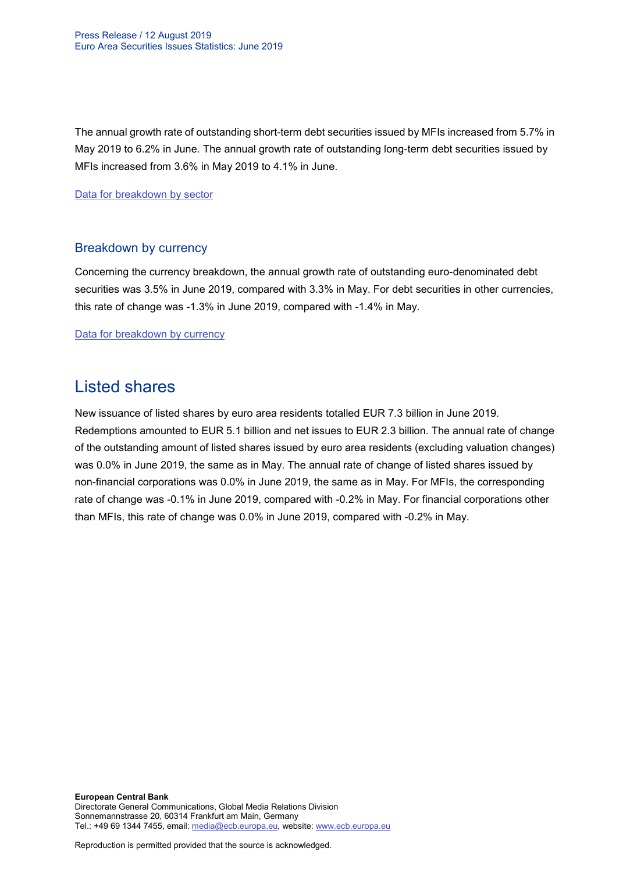The annual growth rate of outstanding short-term debt securities issued by MFIs increased from 5.7% in May 2019 to 6.2% in June. The annual growth rate of outstanding long-term debt securities issued by MFIs increased from 3.6% in May 2019 to 4.1% in June.

[Data for breakdown by sector](http://sdw.ecb.europa.eu/browseSelection.do?type=series&q=SEC.M.I8.1100.F33000.N.I.Z01.A.Z%2cSEC.M.I8.1220.F33000.N.I.Z01.A.Z%2cSEC.M.I8.1235.F33000.N.I.Z01.A.Z%2cSEC.M.I8.1300.F33000.N.I.Z01.A.Z%2cSEC.M.I8.1220.F33100.N.I.Z01.A.Z%2cSEC.M.I8.1220.F33200.N.I.Z01.A.Z&node=SEARCHRESULTS&ec=&oc=&rc=&cv=&pb=&dc=&df=)

## Breakdown by currency

Concerning the currency breakdown, the annual growth rate of outstanding euro-denominated debt securities was 3.5% in June 2019, compared with 3.3% in May. For debt securities in other currencies, this rate of change was -1.3% in June 2019, compared with -1.4% in May.

[Data for breakdown by currency](http://sdw.ecb.europa.eu/browseSelection.do?type=series&q=SEC.M.I8.1000.F33000.N.I.EUR.A.Z%2cSEC.M.I8.1000.F33000.N.I.Z06.A.Z&node=SEARCHRESULTS&ec=&oc=&rc=&cv=&pb=&dc=&df=)

## Listed shares

New issuance of listed shares by euro area residents totalled EUR 7.3 billion in June 2019. Redemptions amounted to EUR 5.1 billion and net issues to EUR 2.3 billion. The annual rate of change of the outstanding amount of listed shares issued by euro area residents (excluding valuation changes) was 0.0% in June 2019, the same as in May. The annual rate of change of listed shares issued by non-financial corporations was 0.0% in June 2019, the same as in May. For MFIs, the corresponding rate of change was -0.1% in June 2019, compared with -0.2% in May. For financial corporations other than MFIs, this rate of change was 0.0% in June 2019, compared with -0.2% in May.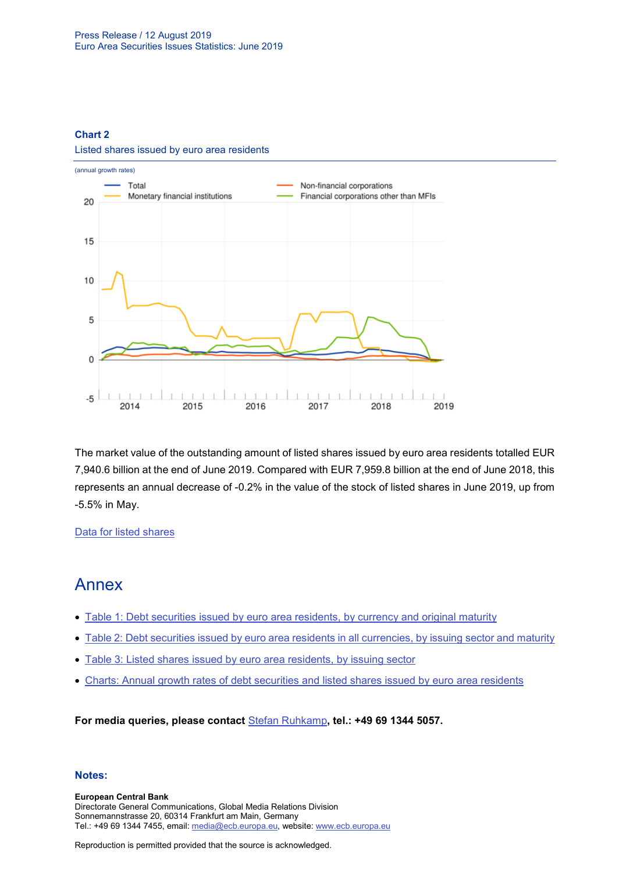### **Chart 2**



Listed shares issued by euro area residents

The market value of the outstanding amount of listed shares issued by euro area residents totalled EUR 7,940.6 billion at the end of June 2019. Compared with EUR 7,959.8 billion at the end of June 2018, this represents an annual decrease of -0.2% in the value of the stock of listed shares in June 2019, up from -5.5% in May.

## [Data for listed shares](http://sdw.ecb.europa.eu/browseSelection.do?type=series&q=SEC.M.I8.1000.F51100.M.2.Z01.E.Z%2cSEC.M.I8.1000.F51100.M.3.Z01.E.Z%2cSEC.M.I8.1000.F51100.M.4.Z01.E.Z%2cSEC.M.I8.1000.F51100.M.I.Z01.A.Z%2cSEC.M.I8.1100.F51100.M.I.Z01.A.Z%2cSEC.M.I8.1220.F51100.M.I.Z01.A.Z%2cSEC.M.I8.1235.F51100.M.I.Z01.A.Z%2cSEC.M.I8.1000.F51100.M.1.Z01.E.Z&node=SEARCHRESULTS&ec=&oc=&rc=&cv=&pb=&dc=&df=)

## Annex

- [Table 1: Debt securities issued by euro area residents, by currency and original maturity](http://sdw.ecb.europa.eu/web/generator/prl/pr_sec_t01_201906.pdf)
- [Table 2: Debt securities issued by euro area residents in all currencies, by issuing sector and maturity](http://sdw.ecb.europa.eu/web/generator/prl/pr_sec_t02_201906.pdf)
- [Table 3: Listed shares issued by euro area residents, by issuing sector](http://sdw.ecb.europa.eu/web/generator/prl/pr_sec_t03_201906.pdf)
- [Charts: Annual growth rates of debt securities and listed shares issued by euro area residents](http://sdw.ecb.europa.eu/web/generator/prl/pr_sec_c01_201906.pdf)

**For media queries, please contact** [Stefan Ruhkamp](mailto:Stefan.Ruhkamp@ecb.europa.eu)**, tel.: +49 69 1344 5057.**

### **Notes:**

**European Central Bank** Directorate General Communications, Global Media Relations Division Sonnemannstrasse 20, 60314 Frankfurt am Main, Germany Tel.: +49 69 1344 7455, email[: media@ecb.europa.eu,](mailto:media@ecb.europa.eu) website: www.ecb.europa.eu

Reproduction is permitted provided that the source is acknowledged.